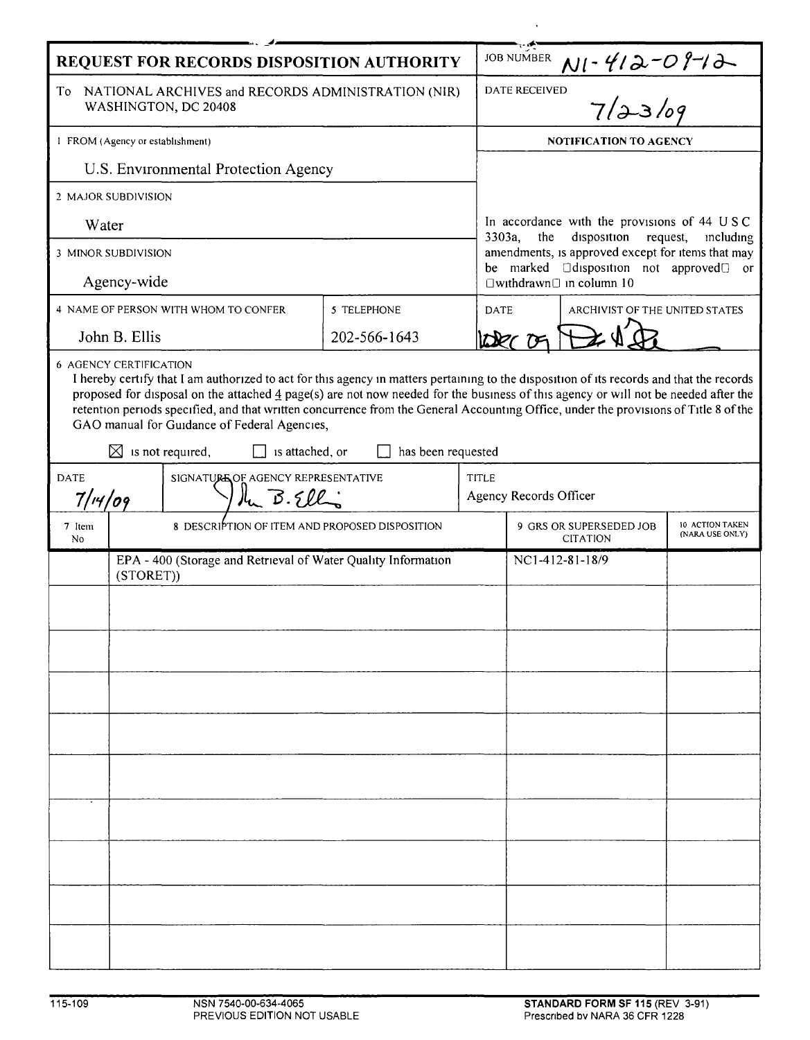| REQUEST FOR RECORDS DISPOSITION AUTHORITY                                                                                                                                                                                                                                                                                                                                                                                                                                                                                                                                              |                                                                            |                                                |              |              | <b>JOB NUMBER</b>                                                                                                                                                                                         |  |  |
|----------------------------------------------------------------------------------------------------------------------------------------------------------------------------------------------------------------------------------------------------------------------------------------------------------------------------------------------------------------------------------------------------------------------------------------------------------------------------------------------------------------------------------------------------------------------------------------|----------------------------------------------------------------------------|------------------------------------------------|--------------|--------------|-----------------------------------------------------------------------------------------------------------------------------------------------------------------------------------------------------------|--|--|
| To NATIONAL ARCHIVES and RECORDS ADMINISTRATION (NIR)<br>WASHINGTON, DC 20408                                                                                                                                                                                                                                                                                                                                                                                                                                                                                                          |                                                                            |                                                |              |              | $N! \cdot 412 - 09 - 12$<br>DATE RECEIVED                                                                                                                                                                 |  |  |
| 1 FROM (Agency or establishment)                                                                                                                                                                                                                                                                                                                                                                                                                                                                                                                                                       |                                                                            |                                                |              |              | <b>NOTIFICATION TO AGENCY</b>                                                                                                                                                                             |  |  |
| U.S. Environmental Protection Agency                                                                                                                                                                                                                                                                                                                                                                                                                                                                                                                                                   |                                                                            |                                                |              |              |                                                                                                                                                                                                           |  |  |
| 2 MAJOR SUBDIVISION                                                                                                                                                                                                                                                                                                                                                                                                                                                                                                                                                                    |                                                                            |                                                |              |              |                                                                                                                                                                                                           |  |  |
| Water                                                                                                                                                                                                                                                                                                                                                                                                                                                                                                                                                                                  |                                                                            |                                                |              |              | In accordance with the provisions of 44 USC<br>disposition<br>3303a,<br>the<br>request,<br>mcluding<br>amendments, is approved except for items that may<br>be marked <b>Odisposition</b> not approved or |  |  |
| 3 MINOR SUBDIVISION                                                                                                                                                                                                                                                                                                                                                                                                                                                                                                                                                                    |                                                                            |                                                |              |              |                                                                                                                                                                                                           |  |  |
| Agency-wide                                                                                                                                                                                                                                                                                                                                                                                                                                                                                                                                                                            |                                                                            |                                                |              |              | $\Box$ withdrawn $\Box$ in column 10                                                                                                                                                                      |  |  |
| 4 NAME OF PERSON WITH WHOM TO CONFER                                                                                                                                                                                                                                                                                                                                                                                                                                                                                                                                                   |                                                                            |                                                | 5 TELEPHONE  |              | ARCHIVIST OF THE UNITED STATES<br><b>DATE</b>                                                                                                                                                             |  |  |
| John B. Ellis                                                                                                                                                                                                                                                                                                                                                                                                                                                                                                                                                                          |                                                                            |                                                | 202-566-1643 |              |                                                                                                                                                                                                           |  |  |
| <b>6 AGENCY CERTIFICATION</b><br>I hereby certify that I am authorized to act for this agency in matters pertaining to the disposition of its records and that the records<br>proposed for disposal on the attached $\frac{4}{3}$ page(s) are not now needed for the business of this agency or will not be needed after the<br>retention periods specified, and that written concurrence from the General Accounting Office, under the provisions of Title 8 of the<br>GAO manual for Guidance of Federal Agencies,<br>⊠<br>is not required,<br>is attached, or<br>has been requested |                                                                            |                                                |              |              |                                                                                                                                                                                                           |  |  |
| <b>DATE</b><br>SIGNATURE OF AGENCY REPRESENTATIVE                                                                                                                                                                                                                                                                                                                                                                                                                                                                                                                                      |                                                                            |                                                |              | <b>TITLE</b> |                                                                                                                                                                                                           |  |  |
| the B.Ellis<br>$7/$ 14/09                                                                                                                                                                                                                                                                                                                                                                                                                                                                                                                                                              |                                                                            |                                                |              |              | Agency Records Officer                                                                                                                                                                                    |  |  |
| 7 Item<br>No                                                                                                                                                                                                                                                                                                                                                                                                                                                                                                                                                                           |                                                                            | 8 DESCRIPTION OF ITEM AND PROPOSED DISPOSITION |              |              | 9 GRS OR SUPERSEDED JOB<br>10 ACTION TAKEN<br>(NARA USE ONLY)<br><b>CITATION</b>                                                                                                                          |  |  |
|                                                                                                                                                                                                                                                                                                                                                                                                                                                                                                                                                                                        | EPA - 400 (Storage and Retrieval of Water Quality Information<br>(STORET)) |                                                |              |              | NC1-412-81-18/9                                                                                                                                                                                           |  |  |
|                                                                                                                                                                                                                                                                                                                                                                                                                                                                                                                                                                                        |                                                                            |                                                |              |              |                                                                                                                                                                                                           |  |  |
|                                                                                                                                                                                                                                                                                                                                                                                                                                                                                                                                                                                        |                                                                            |                                                |              |              |                                                                                                                                                                                                           |  |  |
|                                                                                                                                                                                                                                                                                                                                                                                                                                                                                                                                                                                        |                                                                            |                                                |              |              |                                                                                                                                                                                                           |  |  |
|                                                                                                                                                                                                                                                                                                                                                                                                                                                                                                                                                                                        |                                                                            |                                                |              |              |                                                                                                                                                                                                           |  |  |
|                                                                                                                                                                                                                                                                                                                                                                                                                                                                                                                                                                                        |                                                                            |                                                |              |              |                                                                                                                                                                                                           |  |  |
|                                                                                                                                                                                                                                                                                                                                                                                                                                                                                                                                                                                        |                                                                            |                                                |              |              |                                                                                                                                                                                                           |  |  |
|                                                                                                                                                                                                                                                                                                                                                                                                                                                                                                                                                                                        |                                                                            |                                                |              |              |                                                                                                                                                                                                           |  |  |
|                                                                                                                                                                                                                                                                                                                                                                                                                                                                                                                                                                                        |                                                                            |                                                |              |              |                                                                                                                                                                                                           |  |  |
|                                                                                                                                                                                                                                                                                                                                                                                                                                                                                                                                                                                        |                                                                            |                                                |              |              |                                                                                                                                                                                                           |  |  |
|                                                                                                                                                                                                                                                                                                                                                                                                                                                                                                                                                                                        |                                                                            |                                                |              |              |                                                                                                                                                                                                           |  |  |
|                                                                                                                                                                                                                                                                                                                                                                                                                                                                                                                                                                                        |                                                                            |                                                |              |              |                                                                                                                                                                                                           |  |  |
|                                                                                                                                                                                                                                                                                                                                                                                                                                                                                                                                                                                        |                                                                            |                                                |              |              |                                                                                                                                                                                                           |  |  |
|                                                                                                                                                                                                                                                                                                                                                                                                                                                                                                                                                                                        |                                                                            |                                                |              |              |                                                                                                                                                                                                           |  |  |

 $\sim$   $\sim$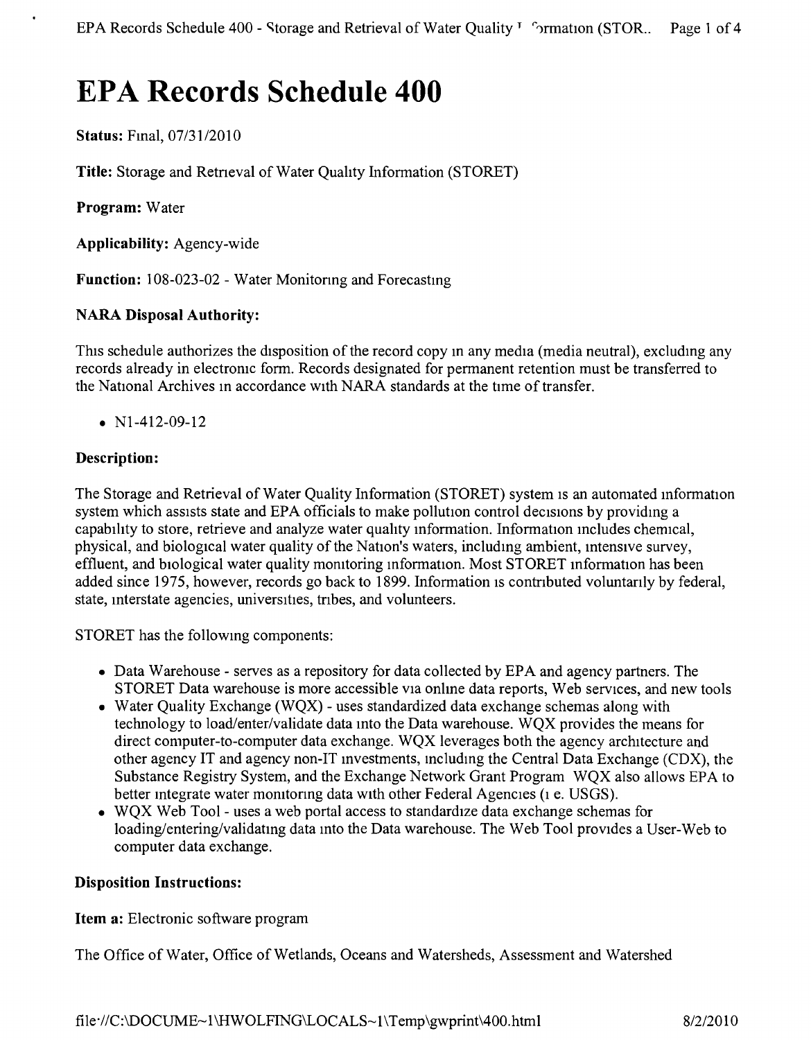# **EPA Records Schedule 400**

**Status:** Fmal, *07/3112010*

**Title:** Storage and Retneval of Water Quality Information (STORET)

**Program:** Water

**Applicability:** Agency-wide

Function: 108-023-02 - Water Monitoring and Forecasting

# **NARA Disposal Authority:**

This schedule authorizes the disposition of the record copy in any media (media neutral), excluding any records already in electromc form. Records designated for permanent retention must be transferred to the National Archives m accordance with NARA standards at the time of transfer.

•  $N1-412-09-12$ 

## **Description:**

The Storage and Retrieval of Water Quality Information (STORET) system is an automated information system which assists state and EPA officials to make pollution control decisions by providmg a capability to store, retrieve and analyze water quality mformation. Information mcludes chemical, physical, and biological water quality of the Nation's waters, includmg ambient, intensive survey, effluent, and biological water quality momtoring information. Most STORET information has been added since 1975, however, records go back to 1899. Information is contributed voluntarily by federal, state, interstate agencies, universines, tnbes, and volunteers.

STORET has the followmg components:

- Data Warehouse serves as a repository for data collected by EPA and agency partners. The STORET Data warehouse is more accessible VIa onlme data reports, Web services, and new tools
- Water Quality Exchange (WQX) uses standardized data exchange schemas along with technology to load/enter/validate data into the Data warehouse. WQX provides the means for direct computer-to-computer data exchange. WQX leverages both the agency architecture and other agency IT and agency non-IT mvestments, mcluding the Central Data Exchange (CDX), the Substance Registry System, and the Exchange Network Grant Program WQX also allows EPA to better integrate water momtonng data with other Federal Agencies (1 e. USGS).
- WOX Web Tool uses a web portal access to standardize data exchange schemas for loading/entering/validating data into the Data warehouse. The Web Tool provides a User-Web to computer data exchange.

#### **Disposition Instructions:**

**Item a:** Electronic software program

The Office of Water, Office of Wetlands, Oceans and Watersheds, Assessment and Watershed

file·//C:\DOCUME~1\HWOLFING\LOCALS~1\Temp\gwprint\400.html 8/2/2010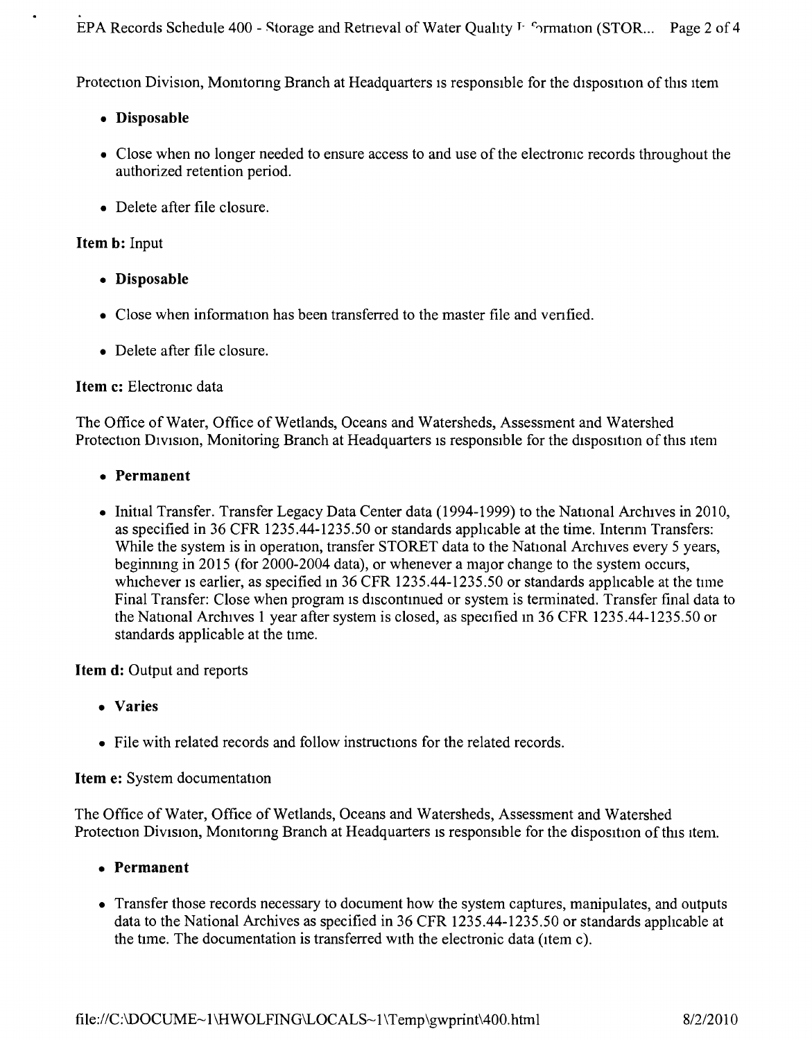EPA Records Schedule 400 - Storage and Retrieval of Water Quality <sup>T- c</sup>ormation (STOR... Page 2 of 4

Protection Division, Monitoring Branch at Headquarters is responsible for the disposition of this item

• Disposable

.

- Close when no longer needed to ensure access to and use of the electronic records throughout the authorized retention period.
- Delete after file closure.

## Item b: Input

- • Disposable
- Close when information has been transferred to the master file and verified.
- Delete after file closure.

## Item c: Electronic data

The Office of Water, Office of Wetlands, Oceans and Watersheds, Assessment and Watershed Protection Division, Monitoring Branch at Headquarters is responsible for the disposition of this item

- • Permanent
- Initial Transfer. Transfer Legacy Data Center data (1994-1999) to the National Archives in 2010, as specified in 36 CFR 1235.44-1235.50 or standards applicable at the time. Intenm Transfers: While the system is in operation, transfer STORET data to the National Archives every 5 years, beginning in 2015 (for 2000-2004 data), or whenever a major change to the system occurs, whichever is earlier, as specified in 36 CFR 1235.44-1235.50 or standards applicable at the time Final Transfer: Close when program is discontinued or system is terminated. Transfer final data to the National Archives 1 year after system is closed, as specified in 36 CFR 1235.44-1235.50 or standards applicable at the ume,

Item d: Output and reports

- • Varies
- File with related records and follow instructions for the related records.

# Item e: System documentation

The Office of Water, Office of Wetlands, Oceans and Watersheds, Assessment and Watershed Protection Division, Monitoring Branch at Headquarters is responsible for the disposition of this item.

- • Permanent
- Transfer those records necessary to document how the system captures, manipulates, and outputs data to the National Archives as specified in 36 CFR 1235.44-1235.50 or standards applicable at the time. The documentation is transferred with the electronic data (Item c).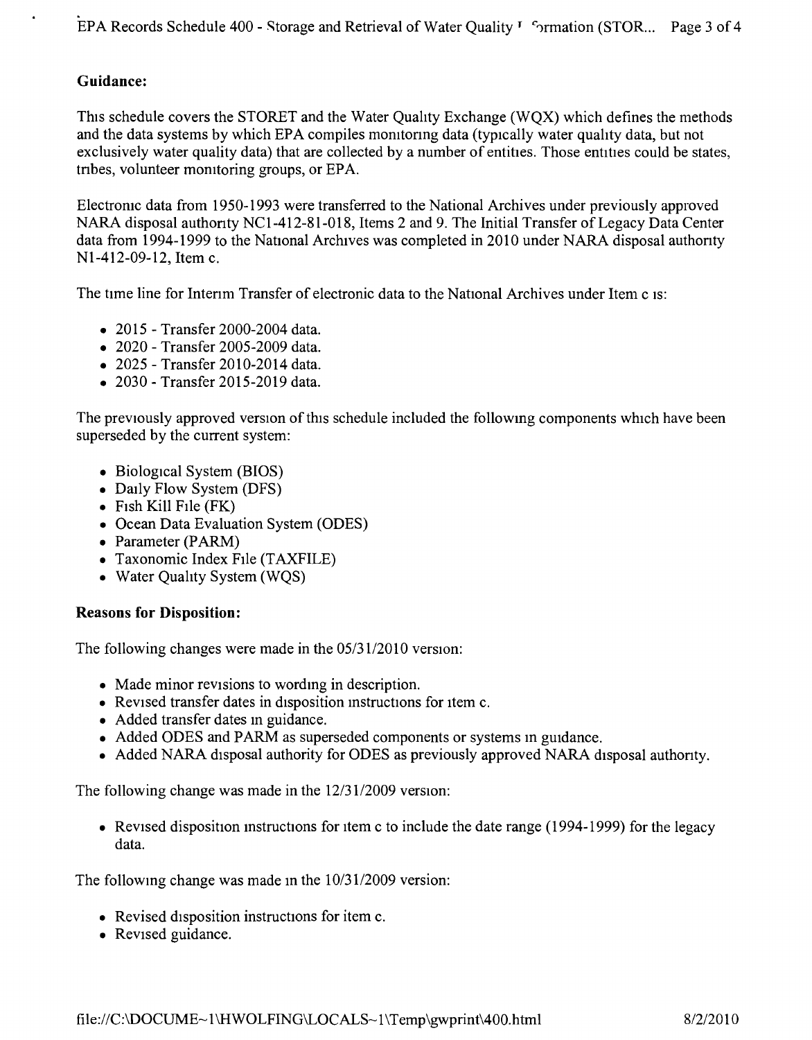# **Guidance:**

This schedule covers the STORET and the Water Quahty Exchange (WQX) which defines the methods and the data systems by which EPA compiles momtonng data (typically water quahty data, but not exclusively water quality data) that are collected by a number of entities. Those entities could be states, tnbes, volunteer momtoring groups, or EPA.

Electromc data from 1950-1993 were transferred to the National Archives under previously approved NARA disposal authonty NCI-412-8l-018, Items 2 and 9. The Initial Transfer of Legacy Data Center data from 1994-1999 to the National Archives was completed in 2010 under NARA disposal authority NI-412-09-12, Item c.

The time line for Interim Transfer of electronic data to the National Archives under Item c is:

- 2015 Transfer 2000-2004 data.
- • 2020 Transfer 2005-2009 data.
- • 2025 Transfer 2010-2014 data.
- 2030 Transfer 2015-2019 data.

The previously approved version of this schedule included the followmg components which have been superseded by the current system:

- Biological System (BIOS)
- Daily Flow System (DFS)
- Fish Kill File (FK)
- Ocean Data Evaluation System (ODES)
- Parameter (PARM)
- Taxonomic Index File (TAXFILE)
- Water Quality System (WQS)

#### **Reasons for Disposition:**

The following changes were made in the *05/3112010* version:

- Made minor revisions to wording in description.
- Revised transfer dates in disposition instructions for item c.
- Added transfer dates in guidance.
- Added ODES and PARM as superseded components or systems in guidance.
- Added NARA disposal authority for ODES as previously approved NARA disposal authority.

The following change was made in the *12/3112009* version:

• Revised disposition instructions for item c to include the date range (1994-1999) for the legacy data.

The followmg change was made in the *10/3112009* version:

- Revised disposition instructions for item c.
- Revised guidance.